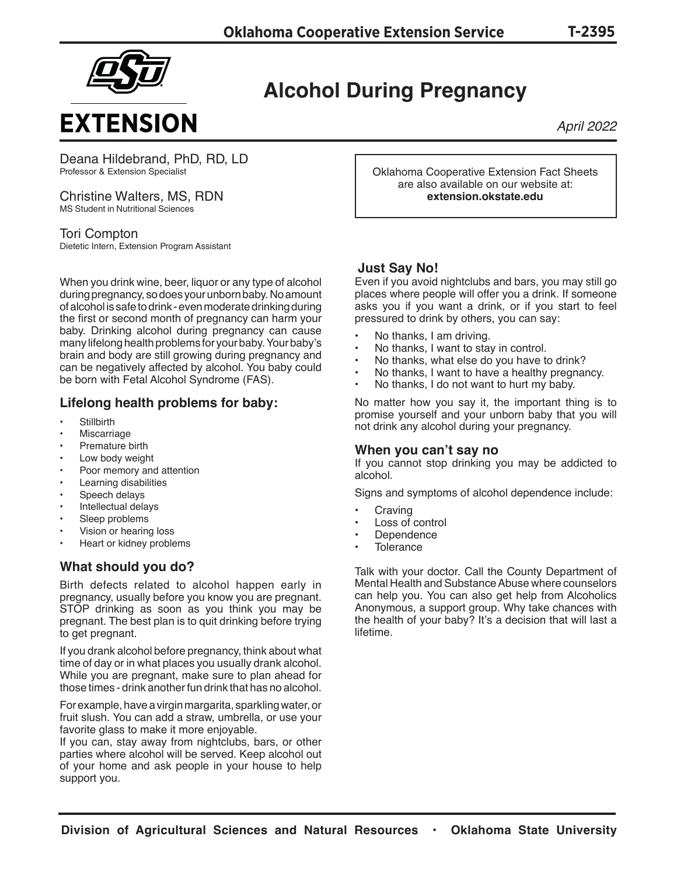

## **Alcohol During Pregnancy**

*April 2022*

Deana Hildebrand, PhD, RD, LD Professor & Extension Specialist

Christine Walters, MS, RDN MS Student in Nutritional Sciences

Tori Compton Dietetic Intern, Extension Program Assistant

When you drink wine, beer, liquor or any type of alcohol during pregnancy, so does your unborn baby. No amount of alcohol is safe to drink - even moderate drinking during the first or second month of pregnancy can harm your baby. Drinking alcohol during pregnancy can cause many lifelong health problems for your baby. Your baby's brain and body are still growing during pregnancy and can be negatively affected by alcohol. You baby could be born with Fetal Alcohol Syndrome (FAS).

### **Lifelong health problems for baby:**

- **Stillbirth**
- **Miscarriage**
- Premature birth
- Low body weight
- Poor memory and attention
- Learning disabilities
- Speech delays
- Intellectual delays
- Sleep problems
- Vision or hearing loss
- Heart or kidney problems

### **What should you do?**

Birth defects related to alcohol happen early in pregnancy, usually before you know you are pregnant. STOP drinking as soon as you think you may be pregnant. The best plan is to quit drinking before trying to get pregnant.

If you drank alcohol before pregnancy, think about what time of day or in what places you usually drank alcohol. While you are pregnant, make sure to plan ahead for those times - drink another fun drink that has no alcohol.

For example, have a virgin margarita, sparkling water, or fruit slush. You can add a straw, umbrella, or use your favorite glass to make it more enjoyable.

If you can, stay away from nightclubs, bars, or other parties where alcohol will be served. Keep alcohol out of your home and ask people in your house to help support you.

Oklahoma Cooperative Extension Fact Sheets are also available on our website at: **extension.okstate.edu**

#### **Just Say No!**

Even if you avoid nightclubs and bars, you may still go places where people will offer you a drink. If someone asks you if you want a drink, or if you start to feel pressured to drink by others, you can say:

- No thanks, I am driving.
- No thanks, I want to stay in control.
- No thanks, what else do you have to drink?
- No thanks, I want to have a healthy pregnancy.
- No thanks, I do not want to hurt my baby.

No matter how you say it, the important thing is to promise yourself and your unborn baby that you will not drink any alcohol during your pregnancy.

#### **When you can't say no**

If you cannot stop drinking you may be addicted to alcohol.

Signs and symptoms of alcohol dependence include:

- **Craving**
- Loss of control
- **Dependence**
- **Tolerance**

Talk with your doctor. Call the County Department of Mental Health and Substance Abuse where counselors can help you. You can also get help from Alcoholics Anonymous, a support group. Why take chances with the health of your baby? It's a decision that will last a lifetime.